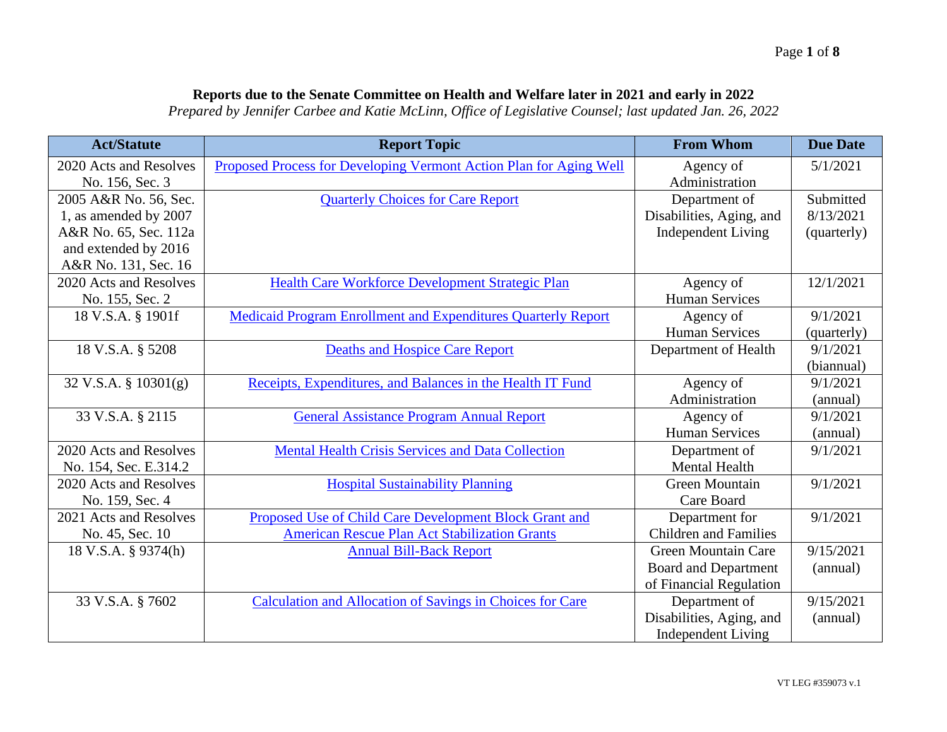## **Reports due to the Senate Committee on Health and Welfare later in 2021 and early in 2022**

*Prepared by Jennifer Carbee and Katie McLinn, Office of Legislative Counsel; last updated Jan. 26, 2022*

| <b>Act/Statute</b>     | <b>Report Topic</b>                                                  | <b>From Whom</b>             | <b>Due Date</b> |
|------------------------|----------------------------------------------------------------------|------------------------------|-----------------|
| 2020 Acts and Resolves | Proposed Process for Developing Vermont Action Plan for Aging Well   | Agency of                    | 5/1/2021        |
| No. 156, Sec. 3        |                                                                      | Administration               |                 |
| 2005 A&R No. 56, Sec.  | <b>Quarterly Choices for Care Report</b>                             | Department of                | Submitted       |
| 1, as amended by 2007  |                                                                      | Disabilities, Aging, and     | 8/13/2021       |
| A&R No. 65, Sec. 112a  |                                                                      | <b>Independent Living</b>    | (quarterly)     |
| and extended by 2016   |                                                                      |                              |                 |
| A&R No. 131, Sec. 16   |                                                                      |                              |                 |
| 2020 Acts and Resolves | Health Care Workforce Development Strategic Plan                     | Agency of                    | 12/1/2021       |
| No. 155, Sec. 2        |                                                                      | Human Services               |                 |
| 18 V.S.A. § 1901f      | <b>Medicaid Program Enrollment and Expenditures Quarterly Report</b> | Agency of                    | 9/1/2021        |
|                        |                                                                      | <b>Human Services</b>        | (quarterly)     |
| 18 V.S.A. § 5208       | <b>Deaths and Hospice Care Report</b>                                | Department of Health         | 9/1/2021        |
|                        |                                                                      |                              | (biannual)      |
| 32 V.S.A. § 10301(g)   | Receipts, Expenditures, and Balances in the Health IT Fund           | Agency of                    | 9/1/2021        |
|                        |                                                                      | Administration               | (annual)        |
| 33 V.S.A. § 2115       | <b>General Assistance Program Annual Report</b>                      | Agency of                    | 9/1/2021        |
|                        |                                                                      | <b>Human Services</b>        | (annual)        |
| 2020 Acts and Resolves | <b>Mental Health Crisis Services and Data Collection</b>             | Department of                | 9/1/2021        |
| No. 154, Sec. E.314.2  |                                                                      | <b>Mental Health</b>         |                 |
| 2020 Acts and Resolves | <b>Hospital Sustainability Planning</b>                              | <b>Green Mountain</b>        | 9/1/2021        |
| No. 159, Sec. 4        |                                                                      | Care Board                   |                 |
| 2021 Acts and Resolves | Proposed Use of Child Care Development Block Grant and               | Department for               | 9/1/2021        |
| No. 45, Sec. 10        | <b>American Rescue Plan Act Stabilization Grants</b>                 | <b>Children</b> and Families |                 |
| 18 V.S.A. § 9374(h)    | <b>Annual Bill-Back Report</b>                                       | <b>Green Mountain Care</b>   | 9/15/2021       |
|                        |                                                                      | <b>Board and Department</b>  | (annual)        |
|                        |                                                                      | of Financial Regulation      |                 |
| 33 V.S.A. § 7602       | <b>Calculation and Allocation of Savings in Choices for Care</b>     | Department of                | 9/15/2021       |
|                        |                                                                      | Disabilities, Aging, and     | (annual)        |
|                        |                                                                      | <b>Independent Living</b>    |                 |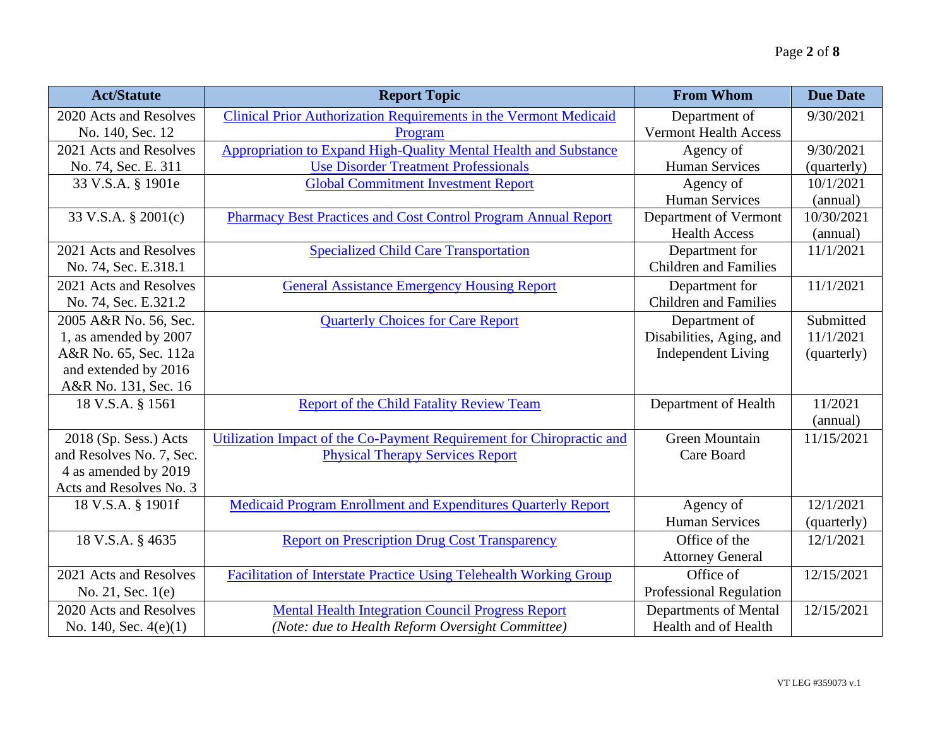| <b>Act/Statute</b>       | <b>Report Topic</b>                                                       | <b>From Whom</b>               | <b>Due Date</b> |
|--------------------------|---------------------------------------------------------------------------|--------------------------------|-----------------|
| 2020 Acts and Resolves   | Clinical Prior Authorization Requirements in the Vermont Medicaid         | Department of                  | 9/30/2021       |
| No. 140, Sec. 12         | Program                                                                   | <b>Vermont Health Access</b>   |                 |
| 2021 Acts and Resolves   | Appropriation to Expand High-Quality Mental Health and Substance          | Agency of                      | 9/30/2021       |
| No. 74, Sec. E. 311      | <b>Use Disorder Treatment Professionals</b>                               | <b>Human Services</b>          | (quarterly)     |
| 33 V.S.A. § 1901e        | <b>Global Commitment Investment Report</b>                                | Agency of                      | 10/1/2021       |
|                          |                                                                           | <b>Human Services</b>          | (annual)        |
| 33 V.S.A. § 2001(c)      | <b>Pharmacy Best Practices and Cost Control Program Annual Report</b>     | Department of Vermont          | 10/30/2021      |
|                          |                                                                           | <b>Health Access</b>           | (annual)        |
| 2021 Acts and Resolves   | <b>Specialized Child Care Transportation</b>                              | Department for                 | 11/1/2021       |
| No. 74, Sec. E.318.1     |                                                                           | <b>Children</b> and Families   |                 |
| 2021 Acts and Resolves   | <b>General Assistance Emergency Housing Report</b>                        | Department for                 | 11/1/2021       |
| No. 74, Sec. E.321.2     |                                                                           | <b>Children</b> and Families   |                 |
| 2005 A&R No. 56, Sec.    | <b>Quarterly Choices for Care Report</b>                                  | Department of                  | Submitted       |
| 1, as amended by 2007    |                                                                           | Disabilities, Aging, and       | 11/1/2021       |
| A&R No. 65, Sec. 112a    |                                                                           | <b>Independent Living</b>      | (quarterly)     |
| and extended by 2016     |                                                                           |                                |                 |
| A&R No. 131, Sec. 16     |                                                                           |                                |                 |
| 18 V.S.A. § 1561         | <b>Report of the Child Fatality Review Team</b>                           | Department of Health           | 11/2021         |
|                          |                                                                           |                                | (annual)        |
| 2018 (Sp. Sess.) Acts    | Utilization Impact of the Co-Payment Requirement for Chiropractic and     | <b>Green Mountain</b>          | 11/15/2021      |
| and Resolves No. 7, Sec. | <b>Physical Therapy Services Report</b>                                   | Care Board                     |                 |
| 4 as amended by 2019     |                                                                           |                                |                 |
| Acts and Resolves No. 3  |                                                                           |                                |                 |
| 18 V.S.A. § 1901f        | <b>Medicaid Program Enrollment and Expenditures Quarterly Report</b>      | Agency of                      | 12/1/2021       |
|                          |                                                                           | <b>Human Services</b>          | (quarterly)     |
| 18 V.S.A. § 4635         | <b>Report on Prescription Drug Cost Transparency</b>                      | Office of the                  | 12/1/2021       |
|                          |                                                                           | <b>Attorney General</b>        |                 |
| 2021 Acts and Resolves   | <b>Facilitation of Interstate Practice Using Telehealth Working Group</b> | Office of                      | 12/15/2021      |
| No. 21, Sec. 1(e)        |                                                                           | <b>Professional Regulation</b> |                 |
| 2020 Acts and Resolves   | <b>Mental Health Integration Council Progress Report</b>                  | <b>Departments of Mental</b>   | 12/15/2021      |
| No. 140, Sec. $4(e)(1)$  | (Note: due to Health Reform Oversight Committee)                          | Health and of Health           |                 |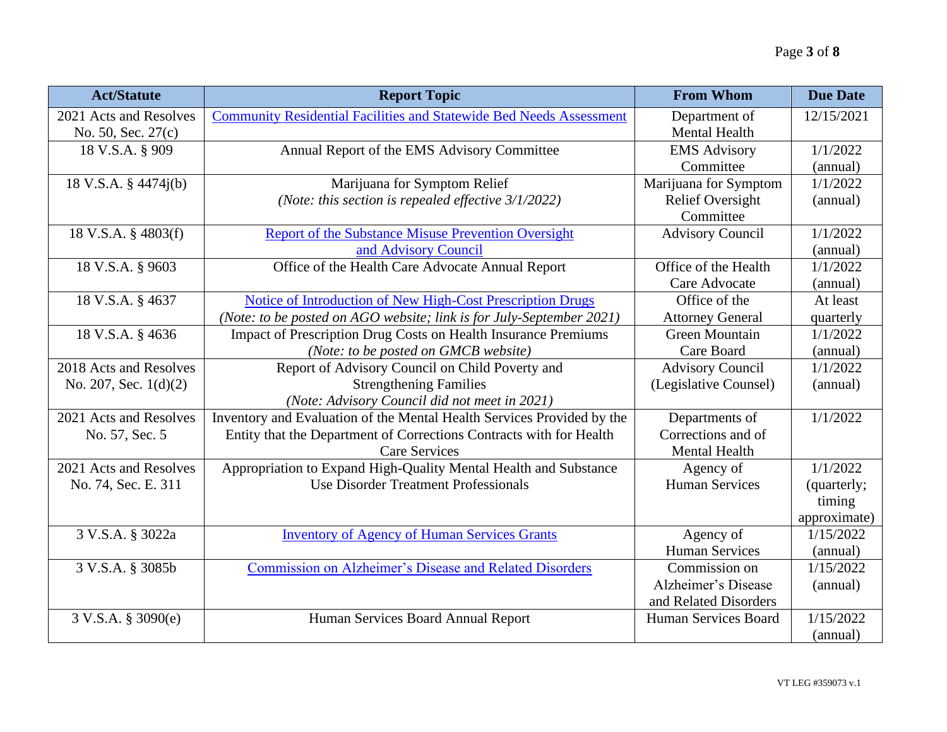| <b>Act/Statute</b>      | <b>Report Topic</b>                                                        | <b>From Whom</b>        | <b>Due Date</b> |
|-------------------------|----------------------------------------------------------------------------|-------------------------|-----------------|
| 2021 Acts and Resolves  | <b>Community Residential Facilities and Statewide Bed Needs Assessment</b> | Department of           | 12/15/2021      |
| No. 50, Sec. 27(c)      |                                                                            | Mental Health           |                 |
| 18 V.S.A. § 909         | Annual Report of the EMS Advisory Committee                                | <b>EMS Advisory</b>     | 1/1/2022        |
|                         |                                                                            | Committee               | (annual)        |
| 18 V.S.A. § 4474j(b)    | Marijuana for Symptom Relief                                               | Marijuana for Symptom   | 1/1/2022        |
|                         | (Note: this section is repealed effective $3/1/2022$ )                     | <b>Relief Oversight</b> | (annual)        |
|                         |                                                                            | Committee               |                 |
| 18 V.S.A. § 4803(f)     | <b>Report of the Substance Misuse Prevention Oversight</b>                 | <b>Advisory Council</b> | 1/1/2022        |
|                         | and Advisory Council                                                       |                         | (annual)        |
| 18 V.S.A. § 9603        | Office of the Health Care Advocate Annual Report                           | Office of the Health    | 1/1/2022        |
|                         |                                                                            | Care Advocate           | (annual)        |
| 18 V.S.A. § 4637        | Notice of Introduction of New High-Cost Prescription Drugs                 | Office of the           | At least        |
|                         | (Note: to be posted on AGO website; link is for July-September 2021)       | <b>Attorney General</b> | quarterly       |
| 18 V.S.A. § 4636        | Impact of Prescription Drug Costs on Health Insurance Premiums             | <b>Green Mountain</b>   | 1/1/2022        |
|                         | (Note: to be posted on GMCB website)                                       | Care Board              | (annual)        |
| 2018 Acts and Resolves  | Report of Advisory Council on Child Poverty and                            | <b>Advisory Council</b> | 1/1/2022        |
| No. 207, Sec. $1(d)(2)$ | <b>Strengthening Families</b>                                              | (Legislative Counsel)   | (annual)        |
|                         | (Note: Advisory Council did not meet in 2021)                              |                         |                 |
| 2021 Acts and Resolves  | Inventory and Evaluation of the Mental Health Services Provided by the     | Departments of          | 1/1/2022        |
| No. 57, Sec. 5          | Entity that the Department of Corrections Contracts with for Health        | Corrections and of      |                 |
|                         | <b>Care Services</b>                                                       | Mental Health           |                 |
| 2021 Acts and Resolves  | Appropriation to Expand High-Quality Mental Health and Substance           | Agency of               | 1/1/2022        |
| No. 74, Sec. E. 311     | <b>Use Disorder Treatment Professionals</b>                                | <b>Human Services</b>   | (quarterly;     |
|                         |                                                                            |                         | timing          |
|                         |                                                                            |                         | approximate)    |
| 3 V.S.A. § 3022a        | <b>Inventory of Agency of Human Services Grants</b>                        | Agency of               | 1/15/2022       |
|                         |                                                                            | <b>Human Services</b>   | (annual)        |
| 3 V.S.A. § 3085b        | <b>Commission on Alzheimer's Disease and Related Disorders</b>             | Commission on           | 1/15/2022       |
|                         |                                                                            | Alzheimer's Disease     | (annual)        |
|                         |                                                                            | and Related Disorders   |                 |
| 3 V.S.A. § 3090(e)      | Human Services Board Annual Report                                         | Human Services Board    | 1/15/2022       |
|                         |                                                                            |                         | (annual)        |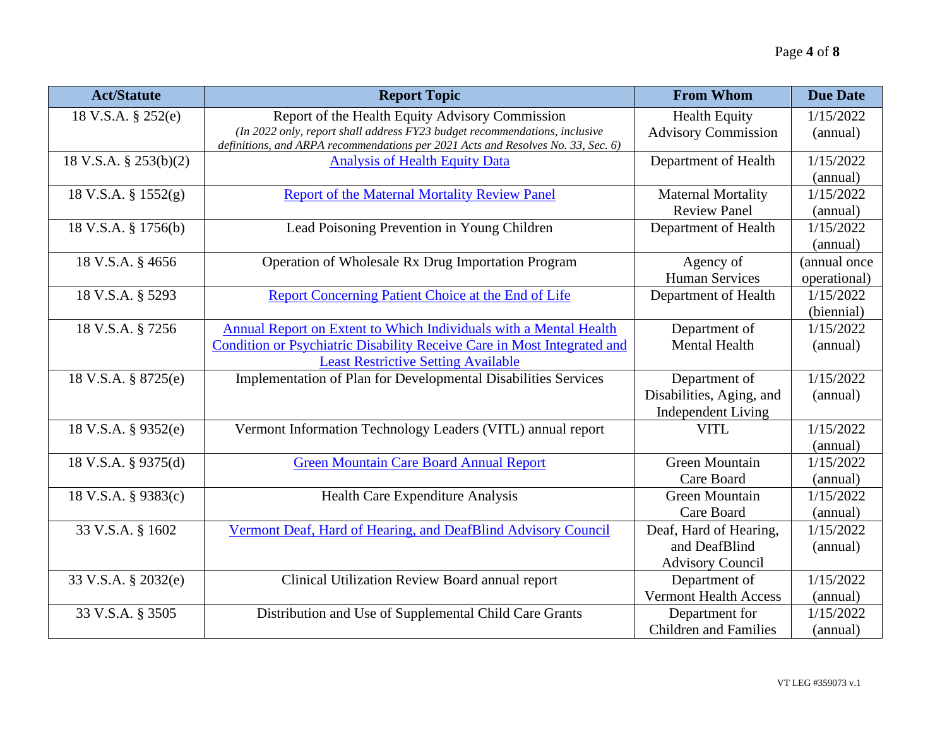| <b>Act/Statute</b>    | <b>Report Topic</b>                                                                                                                                            | <b>From Whom</b>             | <b>Due Date</b> |
|-----------------------|----------------------------------------------------------------------------------------------------------------------------------------------------------------|------------------------------|-----------------|
| 18 V.S.A. § 252(e)    | Report of the Health Equity Advisory Commission                                                                                                                | <b>Health Equity</b>         | 1/15/2022       |
|                       | (In 2022 only, report shall address FY23 budget recommendations, inclusive<br>definitions, and ARPA recommendations per 2021 Acts and Resolves No. 33, Sec. 6) | <b>Advisory Commission</b>   | (annual)        |
| 18 V.S.A. § 253(b)(2) | <b>Analysis of Health Equity Data</b>                                                                                                                          | Department of Health         | 1/15/2022       |
|                       |                                                                                                                                                                |                              | (annual)        |
| 18 V.S.A. § 1552(g)   | <b>Report of the Maternal Mortality Review Panel</b>                                                                                                           | <b>Maternal Mortality</b>    | 1/15/2022       |
|                       |                                                                                                                                                                | <b>Review Panel</b>          | (annual)        |
| 18 V.S.A. § 1756(b)   | Lead Poisoning Prevention in Young Children                                                                                                                    | Department of Health         | 1/15/2022       |
|                       |                                                                                                                                                                |                              | (annual)        |
| 18 V.S.A. § 4656      | Operation of Wholesale Rx Drug Importation Program                                                                                                             | Agency of                    | (annual once    |
|                       |                                                                                                                                                                | <b>Human Services</b>        | operational)    |
| 18 V.S.A. § 5293      | Report Concerning Patient Choice at the End of Life                                                                                                            | Department of Health         | 1/15/2022       |
|                       |                                                                                                                                                                |                              | (biennial)      |
| 18 V.S.A. § 7256      | Annual Report on Extent to Which Individuals with a Mental Health                                                                                              | Department of                | 1/15/2022       |
|                       | Condition or Psychiatric Disability Receive Care in Most Integrated and                                                                                        | <b>Mental Health</b>         | (annual)        |
|                       | <b>Least Restrictive Setting Available</b>                                                                                                                     |                              |                 |
| 18 V.S.A. § 8725(e)   | Implementation of Plan for Developmental Disabilities Services                                                                                                 | Department of                | 1/15/2022       |
|                       |                                                                                                                                                                | Disabilities, Aging, and     | (annual)        |
|                       |                                                                                                                                                                | <b>Independent Living</b>    |                 |
| 18 V.S.A. § 9352(e)   | Vermont Information Technology Leaders (VITL) annual report                                                                                                    | <b>VITL</b>                  | 1/15/2022       |
|                       |                                                                                                                                                                |                              | (annual)        |
| 18 V.S.A. § 9375(d)   | <b>Green Mountain Care Board Annual Report</b>                                                                                                                 | <b>Green Mountain</b>        | 1/15/2022       |
|                       |                                                                                                                                                                | Care Board                   | (annual)        |
| 18 V.S.A. § 9383(c)   | Health Care Expenditure Analysis                                                                                                                               | Green Mountain               | 1/15/2022       |
|                       |                                                                                                                                                                | Care Board                   | (annual)        |
| 33 V.S.A. § 1602      | Vermont Deaf, Hard of Hearing, and DeafBlind Advisory Council                                                                                                  | Deaf, Hard of Hearing,       | 1/15/2022       |
|                       |                                                                                                                                                                | and DeafBlind                | (annual)        |
|                       |                                                                                                                                                                | <b>Advisory Council</b>      |                 |
| 33 V.S.A. § 2032(e)   | Clinical Utilization Review Board annual report                                                                                                                | Department of                | 1/15/2022       |
|                       |                                                                                                                                                                | <b>Vermont Health Access</b> | (annual)        |
| 33 V.S.A. § 3505      | Distribution and Use of Supplemental Child Care Grants                                                                                                         | Department for               | 1/15/2022       |
|                       |                                                                                                                                                                | <b>Children</b> and Families | (annual)        |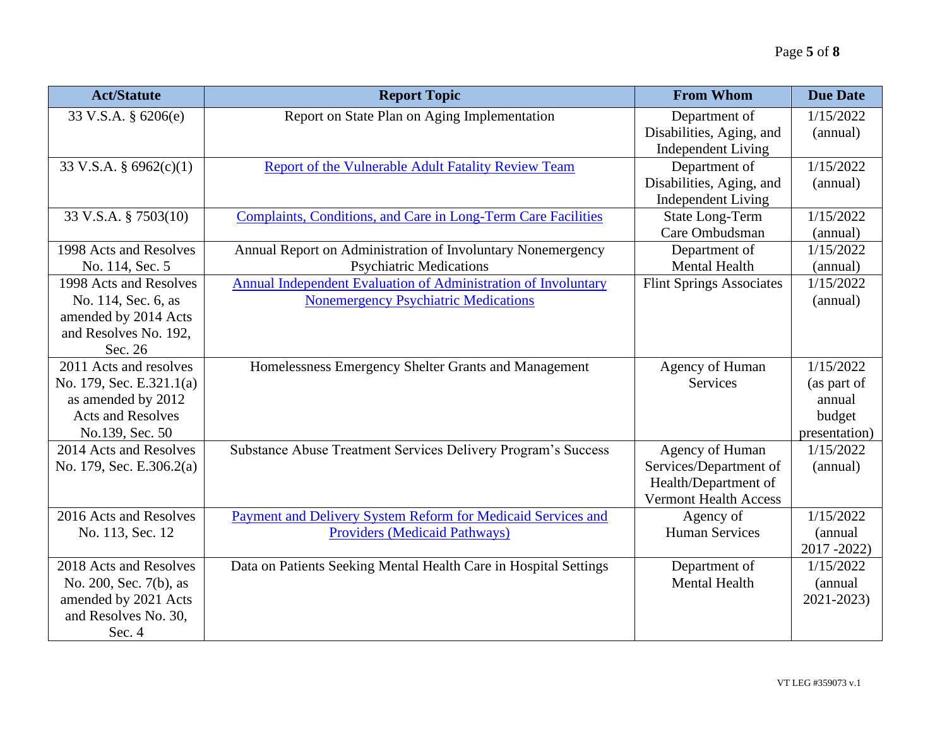| <b>Act/Statute</b>       | <b>Report Topic</b>                                              | <b>From Whom</b>                                      | <b>Due Date</b>       |
|--------------------------|------------------------------------------------------------------|-------------------------------------------------------|-----------------------|
| 33 V.S.A. § 6206(e)      | Report on State Plan on Aging Implementation                     | Department of<br>Disabilities, Aging, and             | 1/15/2022<br>(annual) |
|                          |                                                                  | <b>Independent Living</b>                             |                       |
| 33 V.S.A. § $6962(c)(1)$ | Report of the Vulnerable Adult Fatality Review Team              | Department of                                         | 1/15/2022             |
|                          |                                                                  | Disabilities, Aging, and<br><b>Independent Living</b> | (annual)              |
| 33 V.S.A. § 7503(10)     | Complaints, Conditions, and Care in Long-Term Care Facilities    | <b>State Long-Term</b>                                | 1/15/2022             |
|                          |                                                                  | Care Ombudsman                                        | (annual)              |
| 1998 Acts and Resolves   | Annual Report on Administration of Involuntary Nonemergency      | Department of                                         | 1/15/2022             |
| No. 114, Sec. 5          | <b>Psychiatric Medications</b>                                   | <b>Mental Health</b>                                  | (annual)              |
| 1998 Acts and Resolves   | Annual Independent Evaluation of Administration of Involuntary   | <b>Flint Springs Associates</b>                       | 1/15/2022             |
| No. 114, Sec. 6, as      | <b>Nonemergency Psychiatric Medications</b>                      |                                                       | (annual)              |
| amended by 2014 Acts     |                                                                  |                                                       |                       |
| and Resolves No. 192,    |                                                                  |                                                       |                       |
| Sec. 26                  |                                                                  |                                                       |                       |
| 2011 Acts and resolves   | Homelessness Emergency Shelter Grants and Management             | Agency of Human                                       | 1/15/2022             |
| No. 179, Sec. E.321.1(a) |                                                                  | Services                                              | (as part of           |
| as amended by 2012       |                                                                  |                                                       | annual                |
| <b>Acts and Resolves</b> |                                                                  |                                                       | budget                |
| No.139, Sec. 50          |                                                                  |                                                       | presentation)         |
| 2014 Acts and Resolves   | Substance Abuse Treatment Services Delivery Program's Success    | Agency of Human                                       | 1/15/2022             |
| No. 179, Sec. E.306.2(a) |                                                                  | Services/Department of                                | (annual)              |
|                          |                                                                  | Health/Department of                                  |                       |
|                          |                                                                  | <b>Vermont Health Access</b>                          |                       |
| 2016 Acts and Resolves   | Payment and Delivery System Reform for Medicaid Services and     | Agency of                                             | 1/15/2022             |
| No. 113, Sec. 12         | <b>Providers (Medicaid Pathways)</b>                             | <b>Human Services</b>                                 | (annual               |
|                          |                                                                  |                                                       | $2017 - 2022$         |
| 2018 Acts and Resolves   | Data on Patients Seeking Mental Health Care in Hospital Settings | Department of                                         | 1/15/2022             |
| No. 200, Sec. 7(b), as   |                                                                  | <b>Mental Health</b>                                  | (annual               |
| amended by 2021 Acts     |                                                                  |                                                       | 2021-2023)            |
| and Resolves No. 30,     |                                                                  |                                                       |                       |
| Sec. 4                   |                                                                  |                                                       |                       |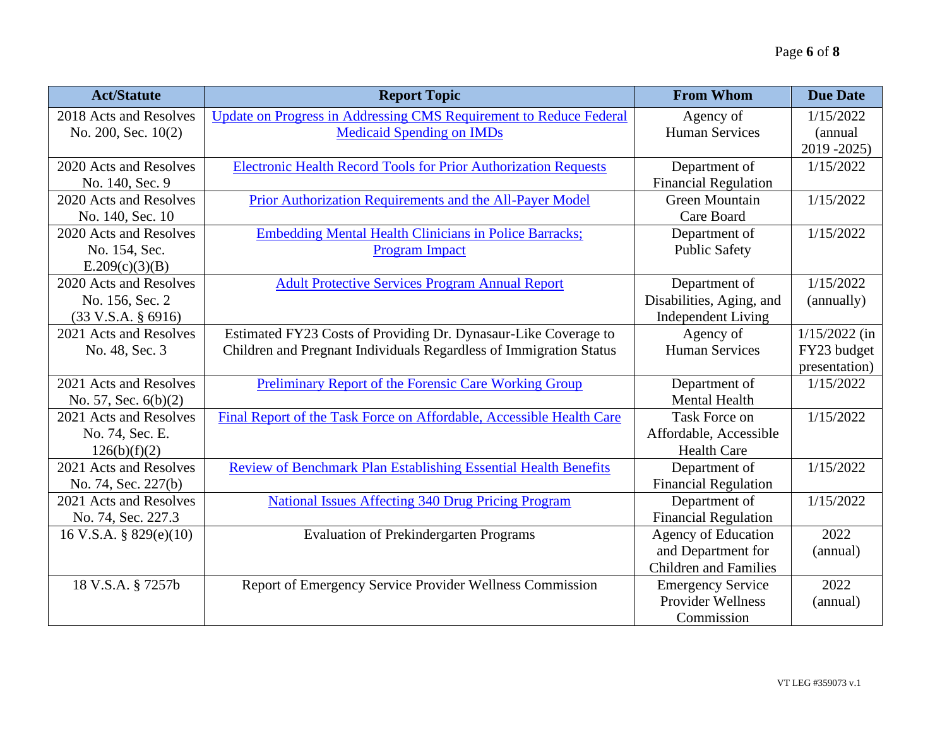| <b>Act/Statute</b>            | <b>Report Topic</b>                                                    | <b>From Whom</b>             | <b>Due Date</b> |
|-------------------------------|------------------------------------------------------------------------|------------------------------|-----------------|
| 2018 Acts and Resolves        | Update on Progress in Addressing CMS Requirement to Reduce Federal     | Agency of                    | 1/15/2022       |
| No. 200, Sec. 10(2)           | <b>Medicaid Spending on IMDs</b>                                       | <b>Human Services</b>        | (annual         |
|                               |                                                                        |                              | 2019 - 2025)    |
| 2020 Acts and Resolves        | <b>Electronic Health Record Tools for Prior Authorization Requests</b> | Department of                | 1/15/2022       |
| No. 140, Sec. 9               |                                                                        | <b>Financial Regulation</b>  |                 |
| 2020 Acts and Resolves        | <b>Prior Authorization Requirements and the All-Payer Model</b>        | <b>Green Mountain</b>        | 1/15/2022       |
| No. 140, Sec. 10              |                                                                        | Care Board                   |                 |
| 2020 Acts and Resolves        | <b>Embedding Mental Health Clinicians in Police Barracks;</b>          | Department of                | 1/15/2022       |
| No. 154, Sec.                 | <b>Program Impact</b>                                                  | <b>Public Safety</b>         |                 |
| E.209(c)(3)(B)                |                                                                        |                              |                 |
| 2020 Acts and Resolves        | <b>Adult Protective Services Program Annual Report</b>                 | Department of                | 1/15/2022       |
| No. 156, Sec. 2               |                                                                        | Disabilities, Aging, and     | (annually)      |
| $(33 \text{ V.S.A. } § 6916)$ |                                                                        | <b>Independent Living</b>    |                 |
| 2021 Acts and Resolves        | Estimated FY23 Costs of Providing Dr. Dynasaur-Like Coverage to        | Agency of                    | $1/15/2022$ (in |
| No. 48, Sec. 3                | Children and Pregnant Individuals Regardless of Immigration Status     | <b>Human Services</b>        | FY23 budget     |
|                               |                                                                        |                              | presentation)   |
| 2021 Acts and Resolves        | <b>Preliminary Report of the Forensic Care Working Group</b>           | Department of                | 1/15/2022       |
| No. 57, Sec. $6(b)(2)$        |                                                                        | <b>Mental Health</b>         |                 |
| 2021 Acts and Resolves        | Final Report of the Task Force on Affordable, Accessible Health Care   | <b>Task Force on</b>         | 1/15/2022       |
| No. 74, Sec. E.               |                                                                        | Affordable, Accessible       |                 |
| 126(b)(f)(2)                  |                                                                        | <b>Health Care</b>           |                 |
| 2021 Acts and Resolves        | <b>Review of Benchmark Plan Establishing Essential Health Benefits</b> | Department of                | 1/15/2022       |
| No. 74, Sec. 227(b)           |                                                                        | Financial Regulation         |                 |
| 2021 Acts and Resolves        | <b>National Issues Affecting 340 Drug Pricing Program</b>              | Department of                | 1/15/2022       |
| No. 74, Sec. 227.3            |                                                                        | <b>Financial Regulation</b>  |                 |
| 16 V.S.A. § 829 $(e)(10)$     | <b>Evaluation of Prekindergarten Programs</b>                          | <b>Agency of Education</b>   | 2022            |
|                               |                                                                        | and Department for           | (annual)        |
|                               |                                                                        | <b>Children and Families</b> |                 |
| 18 V.S.A. § 7257b             | Report of Emergency Service Provider Wellness Commission               | <b>Emergency Service</b>     | 2022            |
|                               |                                                                        | <b>Provider Wellness</b>     | (annual)        |
|                               |                                                                        | Commission                   |                 |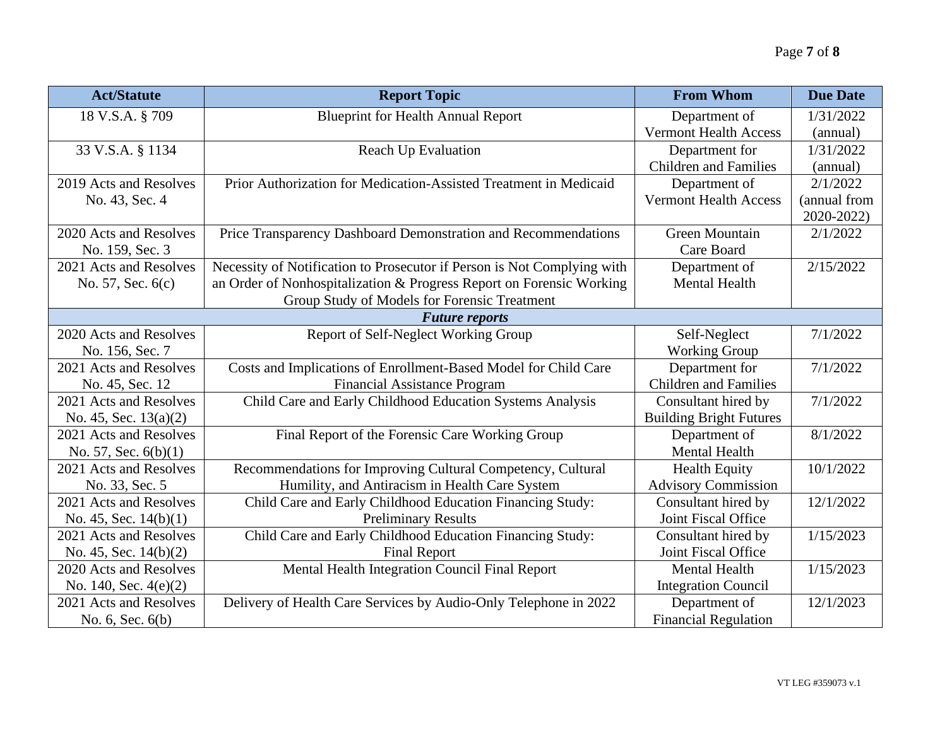| <b>Act/Statute</b>      | <b>Report Topic</b>                                                     | <b>From Whom</b>               | <b>Due Date</b> |
|-------------------------|-------------------------------------------------------------------------|--------------------------------|-----------------|
| 18 V.S.A. § 709         | <b>Blueprint for Health Annual Report</b>                               | Department of                  | 1/31/2022       |
|                         |                                                                         | <b>Vermont Health Access</b>   | (annual)        |
| 33 V.S.A. § 1134        | <b>Reach Up Evaluation</b>                                              | Department for                 | 1/31/2022       |
|                         |                                                                         | <b>Children</b> and Families   | (annual)        |
| 2019 Acts and Resolves  | Prior Authorization for Medication-Assisted Treatment in Medicaid       | Department of                  | 2/1/2022        |
| No. 43, Sec. 4          |                                                                         | <b>Vermont Health Access</b>   | (annual from    |
|                         |                                                                         |                                | 2020-2022)      |
| 2020 Acts and Resolves  | Price Transparency Dashboard Demonstration and Recommendations          | <b>Green Mountain</b>          | 2/1/2022        |
| No. 159, Sec. 3         |                                                                         | Care Board                     |                 |
| 2021 Acts and Resolves  | Necessity of Notification to Prosecutor if Person is Not Complying with | Department of                  | 2/15/2022       |
| No. 57, Sec. 6(c)       | an Order of Nonhospitalization & Progress Report on Forensic Working    | <b>Mental Health</b>           |                 |
|                         | Group Study of Models for Forensic Treatment                            |                                |                 |
|                         | <b>Future reports</b>                                                   |                                |                 |
| 2020 Acts and Resolves  | Report of Self-Neglect Working Group                                    | Self-Neglect                   | 7/1/2022        |
| No. 156, Sec. 7         |                                                                         | <b>Working Group</b>           |                 |
| 2021 Acts and Resolves  | Costs and Implications of Enrollment-Based Model for Child Care         | Department for                 | 7/1/2022        |
| No. 45, Sec. 12         | <b>Financial Assistance Program</b>                                     | <b>Children</b> and Families   |                 |
| 2021 Acts and Resolves  | Child Care and Early Childhood Education Systems Analysis               | Consultant hired by            | 7/1/2022        |
| No. 45, Sec. $13(a)(2)$ |                                                                         | <b>Building Bright Futures</b> |                 |
| 2021 Acts and Resolves  | Final Report of the Forensic Care Working Group                         | Department of                  | 8/1/2022        |
| No. 57, Sec. $6(b)(1)$  |                                                                         | <b>Mental Health</b>           |                 |
| 2021 Acts and Resolves  | Recommendations for Improving Cultural Competency, Cultural             | <b>Health Equity</b>           | 10/1/2022       |
| No. 33, Sec. 5          | Humility, and Antiracism in Health Care System                          | <b>Advisory Commission</b>     |                 |
| 2021 Acts and Resolves  | Child Care and Early Childhood Education Financing Study:               | Consultant hired by            | 12/1/2022       |
| No. 45, Sec. $14(b)(1)$ | <b>Preliminary Results</b>                                              | Joint Fiscal Office            |                 |
| 2021 Acts and Resolves  | Child Care and Early Childhood Education Financing Study:               | Consultant hired by            | 1/15/2023       |
| No. 45, Sec. $14(b)(2)$ | <b>Final Report</b>                                                     | Joint Fiscal Office            |                 |
| 2020 Acts and Resolves  | Mental Health Integration Council Final Report                          | <b>Mental Health</b>           | 1/15/2023       |
| No. 140, Sec. $4(e)(2)$ |                                                                         | <b>Integration Council</b>     |                 |
| 2021 Acts and Resolves  | Delivery of Health Care Services by Audio-Only Telephone in 2022        | Department of                  | 12/1/2023       |
| No. 6, Sec. 6(b)        |                                                                         | <b>Financial Regulation</b>    |                 |